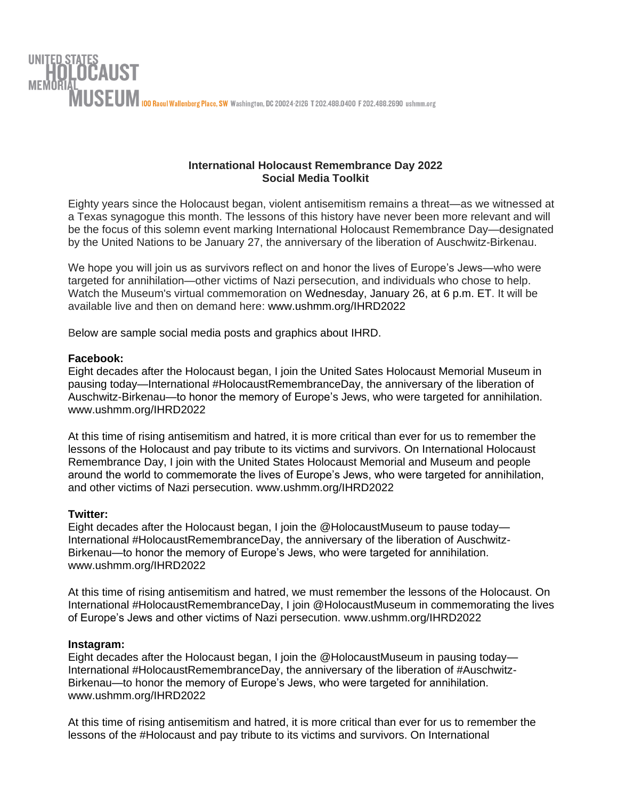

## **International Holocaust Remembrance Day 2022 Social Media Toolkit**

Eighty years since the Holocaust began, violent antisemitism remains a threat—as we witnessed at a Texas synagogue this month. The lessons of this history have never been more relevant and will be the focus of this solemn event marking International Holocaust Remembrance Day—designated by the United Nations to be January 27, the anniversary of the liberation of Auschwitz-Birkenau.

We hope you will join us as survivors reflect on and honor the lives of Europe's Jews—who were targeted for annihilation—other victims of Nazi persecution, and individuals who chose to help. Watch the Museum's virtual commemoration on Wednesday, January 26, at 6 p.m. ET. It will be available live and then on demand here: www.ushmm.org/IHRD2022

Below are sample social media posts and graphics about IHRD.

## **Facebook:**

Eight decades after the Holocaust began, I join the United Sates Holocaust Memorial Museum in pausing today—International #HolocaustRemembranceDay, the anniversary of the liberation of Auschwitz-Birkenau—to honor the memory of Europe's Jews, who were targeted for annihilation. www.ushmm.org/IHRD2022

At this time of rising antisemitism and hatred, it is more critical than ever for us to remember the lessons of the Holocaust and pay tribute to its victims and survivors. On International Holocaust Remembrance Day, I join with the United States Holocaust Memorial and Museum and people around the world to commemorate the lives of Europe's Jews, who were targeted for annihilation, and other victims of Nazi persecution. www.ushmm.org/IHRD2022

## **Twitter:**

Eight decades after the Holocaust began, I join the @HolocaustMuseum to pause today— International #HolocaustRemembranceDay, the anniversary of the liberation of Auschwitz-Birkenau—to honor the memory of Europe's Jews, who were targeted for annihilation. www.ushmm.org/IHRD2022

At this time of rising antisemitism and hatred, we must remember the lessons of the Holocaust. On International #HolocaustRemembranceDay, I join @HolocaustMuseum in commemorating the lives of Europe's Jews and other victims of Nazi persecution. www.ushmm.org/IHRD2022

## **Instagram:**

Eight decades after the Holocaust began, I join the @HolocaustMuseum in pausing today— International #HolocaustRemembranceDay, the anniversary of the liberation of #Auschwitz-Birkenau—to honor the memory of Europe's Jews, who were targeted for annihilation. www.ushmm.org/IHRD2022

At this time of rising antisemitism and hatred, it is more critical than ever for us to remember the lessons of the #Holocaust and pay tribute to its victims and survivors. On International